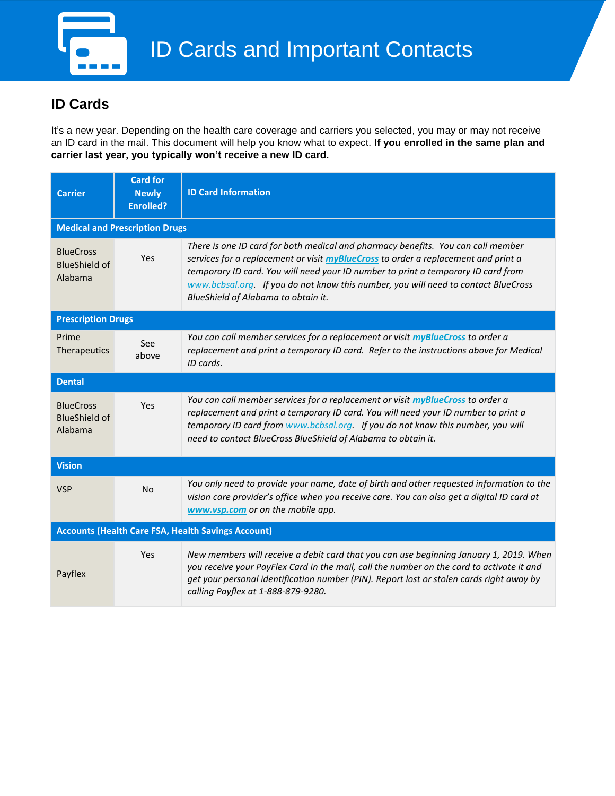

## **ID Cards**

It's a new year. Depending on the health care coverage and carriers you selected, you may or may not receive an ID card in the mail. This document will help you know what to expect. **If you enrolled in the same plan and carrier last year, you typically won't receive a new ID card.**

| <b>Carrier</b>                                            | <b>Card for</b><br><b>Newly</b><br><b>Enrolled?</b> | <b>ID Card Information</b>                                                                                                                                                                                                                                                                                                                                                              |  |  |  |  |
|-----------------------------------------------------------|-----------------------------------------------------|-----------------------------------------------------------------------------------------------------------------------------------------------------------------------------------------------------------------------------------------------------------------------------------------------------------------------------------------------------------------------------------------|--|--|--|--|
| <b>Medical and Prescription Drugs</b>                     |                                                     |                                                                                                                                                                                                                                                                                                                                                                                         |  |  |  |  |
| <b>BlueCross</b><br><b>BlueShield of</b><br>Alabama       | Yes                                                 | There is one ID card for both medical and pharmacy benefits. You can call member<br>services for a replacement or visit myBlueCross to order a replacement and print a<br>temporary ID card. You will need your ID number to print a temporary ID card from<br>www.bcbsal.org If you do not know this number, you will need to contact BlueCross<br>BlueShield of Alabama to obtain it. |  |  |  |  |
| <b>Prescription Drugs</b>                                 |                                                     |                                                                                                                                                                                                                                                                                                                                                                                         |  |  |  |  |
| Prime<br>Therapeutics                                     | See<br>above                                        | You can call member services for a replacement or visit myBlueCross to order a<br>replacement and print a temporary ID card. Refer to the instructions above for Medical<br>ID cards.                                                                                                                                                                                                   |  |  |  |  |
| <b>Dental</b>                                             |                                                     |                                                                                                                                                                                                                                                                                                                                                                                         |  |  |  |  |
| <b>BlueCross</b><br><b>BlueShield of</b><br>Alabama       | Yes                                                 | You can call member services for a replacement or visit myBlueCross to order a<br>replacement and print a temporary ID card. You will need your ID number to print a<br>temporary ID card from www.bcbsal.org. If you do not know this number, you will<br>need to contact BlueCross BlueShield of Alabama to obtain it.                                                                |  |  |  |  |
| <b>Vision</b>                                             |                                                     |                                                                                                                                                                                                                                                                                                                                                                                         |  |  |  |  |
| <b>VSP</b>                                                | No                                                  | You only need to provide your name, date of birth and other requested information to the<br>vision care provider's office when you receive care. You can also get a digital ID card at<br>www.vsp.com or on the mobile app.                                                                                                                                                             |  |  |  |  |
| <b>Accounts (Health Care FSA, Health Savings Account)</b> |                                                     |                                                                                                                                                                                                                                                                                                                                                                                         |  |  |  |  |
| Payflex                                                   | Yes                                                 | New members will receive a debit card that you can use beginning January 1, 2019. When<br>you receive your PayFlex Card in the mail, call the number on the card to activate it and<br>get your personal identification number (PIN). Report lost or stolen cards right away by<br>calling Payflex at 1-888-879-9280.                                                                   |  |  |  |  |